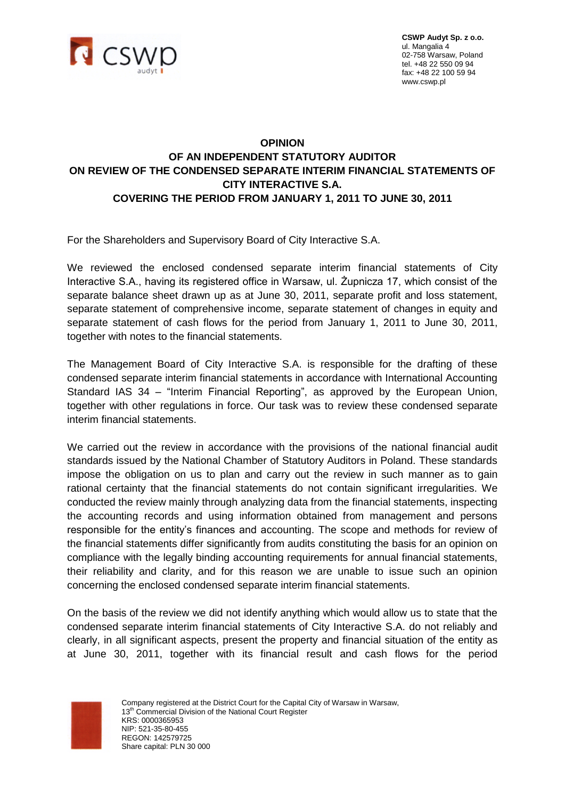

**CSWP Audyt Sp. z o.o.** ul. Mangalia 4 02-758 Warsaw, Poland tel. +48 22 550 09 94 fax: +48 22 100 59 94 www.cswp.pl

## **OPINION OF AN INDEPENDENT STATUTORY AUDITOR ON REVIEW OF THE CONDENSED SEPARATE INTERIM FINANCIAL STATEMENTS OF CITY INTERACTIVE S.A. COVERING THE PERIOD FROM JANUARY 1, 2011 TO JUNE 30, 2011**

For the Shareholders and Supervisory Board of City Interactive S.A.

We reviewed the enclosed condensed separate interim financial statements of City Interactive S.A., having its registered office in Warsaw, ul. Żupnicza 17, which consist of the separate balance sheet drawn up as at June 30, 2011, separate profit and loss statement, separate statement of comprehensive income, separate statement of changes in equity and separate statement of cash flows for the period from January 1, 2011 to June 30, 2011, together with notes to the financial statements.

The Management Board of City Interactive S.A. is responsible for the drafting of these condensed separate interim financial statements in accordance with International Accounting Standard IAS 34 – "Interim Financial Reporting", as approved by the European Union, together with other regulations in force. Our task was to review these condensed separate interim financial statements.

We carried out the review in accordance with the provisions of the national financial audit standards issued by the National Chamber of Statutory Auditors in Poland. These standards impose the obligation on us to plan and carry out the review in such manner as to gain rational certainty that the financial statements do not contain significant irregularities. We conducted the review mainly through analyzing data from the financial statements, inspecting the accounting records and using information obtained from management and persons responsible for the entity's finances and accounting. The scope and methods for review of the financial statements differ significantly from audits constituting the basis for an opinion on compliance with the legally binding accounting requirements for annual financial statements, their reliability and clarity, and for this reason we are unable to issue such an opinion concerning the enclosed condensed separate interim financial statements.

On the basis of the review we did not identify anything which would allow us to state that the condensed separate interim financial statements of City Interactive S.A. do not reliably and clearly, in all significant aspects, present the property and financial situation of the entity as at June 30, 2011, together with its financial result and cash flows for the period